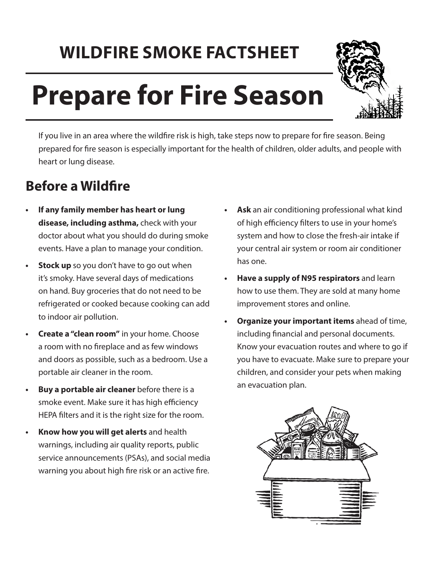## **WILDFIRE SMOKE FACTSHEET**

# **Prepare for Fire Season**



If you live in an area where the wildfre risk is high, take steps now to prepare for fre season. Being prepared for fre season is especially important for the health of children, older adults, and people with heart or lung disease.

#### **Before a Wildfire**

- **• If any family member has heart or lung disease, including asthma,** check with your doctor about what you should do during smoke events. Have a plan to manage your condition.
- **Stock up** so you don't have to go out when it's smoky. Have several days of medications on hand. Buy groceries that do not need to be refrigerated or cooked because cooking can add to indoor air pollution.
- **• Create a "clean room"** in your home. Choose a room with no freplace and as few windows and doors as possible, such as a bedroom. Use a portable air cleaner in the room.
- **• Buy a portable air cleaner** before there is a smoke event. Make sure it has high efficiency HEPA flters and it is the right size for the room.
- **• Know how you will get alerts** and health warnings, including air quality reports, public service announcements (PSAs), and social media warning you about high fire risk or an active fire.
- **• Ask** an air conditioning professional what kind of high efficiency filters to use in your home's system and how to close the fresh-air intake if your central air system or room air conditioner has one.
- **• Have a supply of N95 respirators** and learn how to use them. They are sold at many home improvement stores and online.
- **• Organize your important items** ahead of time, including fnancial and personal documents. Know your evacuation routes and where to go if you have to evacuate. Make sure to prepare your children, and consider your pets when making an evacuation plan.